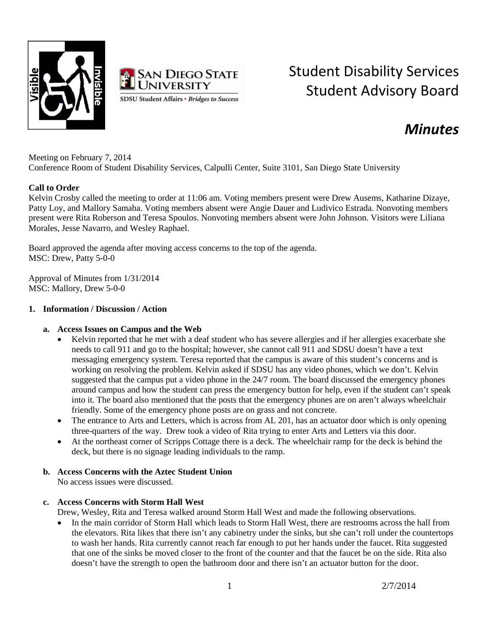



# Student Disability Services Student Advisory Board

# *Minutes*

Meeting on February 7, 2014 Conference Room of Student Disability Services, Calpulli Center, Suite 3101, San Diego State University

#### **Call to Order**

Kelvin Crosby called the meeting to order at 11:06 am. Voting members present were Drew Ausems, Katharine Dizaye, Patty Loy, and Mallory Samaha. Voting members absent were Angie Dauer and Ludivico Estrada. Nonvoting members present were Rita Roberson and Teresa Spoulos. Nonvoting members absent were John Johnson. Visitors were Liliana Morales, Jesse Navarro, and Wesley Raphael.

Board approved the agenda after moving access concerns to the top of the agenda. MSC: Drew, Patty 5-0-0

Approval of Minutes from 1/31/2014 MSC: Mallory, Drew 5-0-0

#### **1. Information / Discussion / Action**

## **a. Access Issues on Campus and the Web**

- Kelvin reported that he met with a deaf student who has severe allergies and if her allergies exacerbate she needs to call 911 and go to the hospital; however, she cannot call 911 and SDSU doesn't have a text messaging emergency system. Teresa reported that the campus is aware of this student's concerns and is working on resolving the problem. Kelvin asked if SDSU has any video phones, which we don't. Kelvin suggested that the campus put a video phone in the 24/7 room. The board discussed the emergency phones around campus and how the student can press the emergency button for help, even if the student can't speak into it. The board also mentioned that the posts that the emergency phones are on aren't always wheelchair friendly. Some of the emergency phone posts are on grass and not concrete.
- The entrance to Arts and Letters, which is across from AL 201, has an actuator door which is only opening three-quarters of the way. Drew took a video of Rita trying to enter Arts and Letters via this door.
- At the northeast corner of Scripps Cottage there is a deck. The wheelchair ramp for the deck is behind the deck, but there is no signage leading individuals to the ramp.

## **b. Access Concerns with the Aztec Student Union**

No access issues were discussed.

#### **c. Access Concerns with Storm Hall West**

Drew, Wesley, Rita and Teresa walked around Storm Hall West and made the following observations.

• In the main corridor of Storm Hall which leads to Storm Hall West, there are restrooms across the hall from the elevators. Rita likes that there isn't any cabinetry under the sinks, but she can't roll under the countertops to wash her hands. Rita currently cannot reach far enough to put her hands under the faucet. Rita suggested that one of the sinks be moved closer to the front of the counter and that the faucet be on the side. Rita also doesn't have the strength to open the bathroom door and there isn't an actuator button for the door.